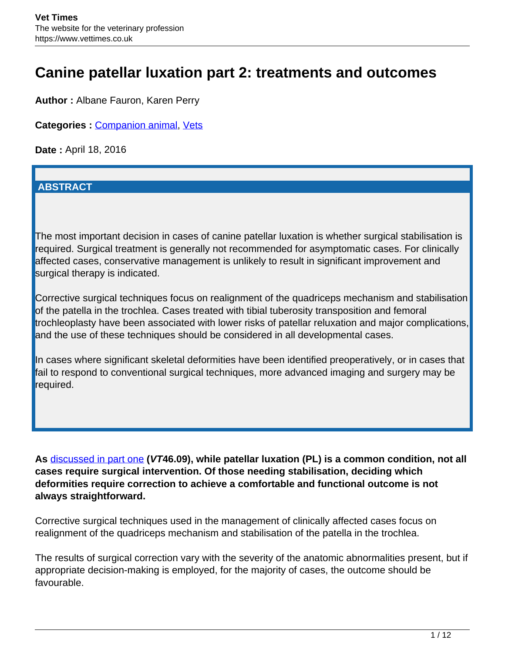# **Canine patellar luxation part 2: treatments and outcomes**

**Author :** Albane Fauron, Karen Perry

**Categories :** [Companion animal](/category/vets/companion-animal/), [Vets](/category/vets/)

**Date :** April 18, 2016

#### **ABSTRACT**

The most important decision in cases of canine patellar luxation is whether surgical stabilisation is required. Surgical treatment is generally not recommended for asymptomatic cases. For clinically affected cases, conservative management is unlikely to result in significant improvement and surgical therapy is indicated.

Corrective surgical techniques focus on realignment of the quadriceps mechanism and stabilisation of the patella in the trochlea. Cases treated with tibial tuberosity transposition and femoral trochleoplasty have been associated with lower risks of patellar reluxation and major complications, and the use of these techniques should be considered in all developmental cases.

In cases where significant skeletal deformities have been identified preoperatively, or in cases that fail to respond to conventional surgical techniques, more advanced imaging and surgery may be required.

**As** [discussed in part one](http://www.vettimes.co.uk/article/canine-patellar-luxation-part-1-pathophysiology-and-diagnosis/) **(VT46.09), while patellar luxation (PL) is a common condition, not all cases require surgical intervention. Of those needing stabilisation, deciding which deformities require correction to achieve a comfortable and functional outcome is not always straightforward.** 

Corrective surgical techniques used in the management of clinically affected cases focus on realignment of the quadriceps mechanism and stabilisation of the patella in the trochlea.

The results of surgical correction vary with the severity of the anatomic abnormalities present, but if appropriate decision-making is employed, for the majority of cases, the outcome should be favourable.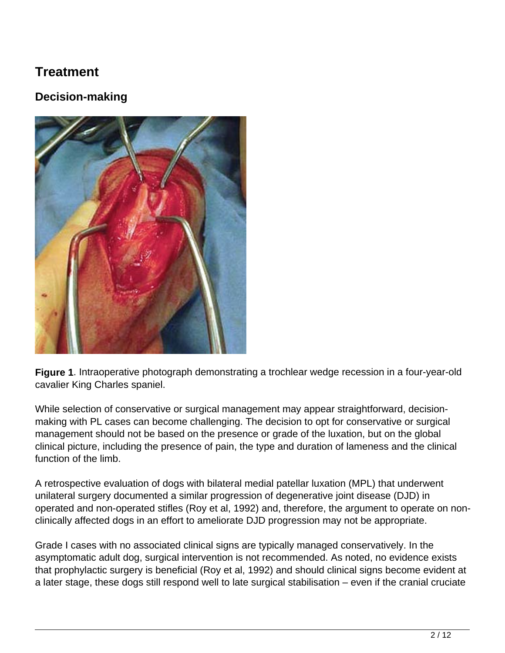## **Treatment**

## **Decision-making**



**Figure 1**. Intraoperative photograph demonstrating a trochlear wedge recession in a four-year-old cavalier King Charles spaniel.

While selection of conservative or surgical management may appear straightforward, decisionmaking with PL cases can become challenging. The decision to opt for conservative or surgical management should not be based on the presence or grade of the luxation, but on the global clinical picture, including the presence of pain, the type and duration of lameness and the clinical function of the limb.

A retrospective evaluation of dogs with bilateral medial patellar luxation (MPL) that underwent unilateral surgery documented a similar progression of degenerative joint disease (DJD) in operated and non-operated stifles (Roy et al, 1992) and, therefore, the argument to operate on nonclinically affected dogs in an effort to ameliorate DJD progression may not be appropriate.

Grade I cases with no associated clinical signs are typically managed conservatively. In the asymptomatic adult dog, surgical intervention is not recommended. As noted, no evidence exists that prophylactic surgery is beneficial (Roy et al, 1992) and should clinical signs become evident at a later stage, these dogs still respond well to late surgical stabilisation – even if the cranial cruciate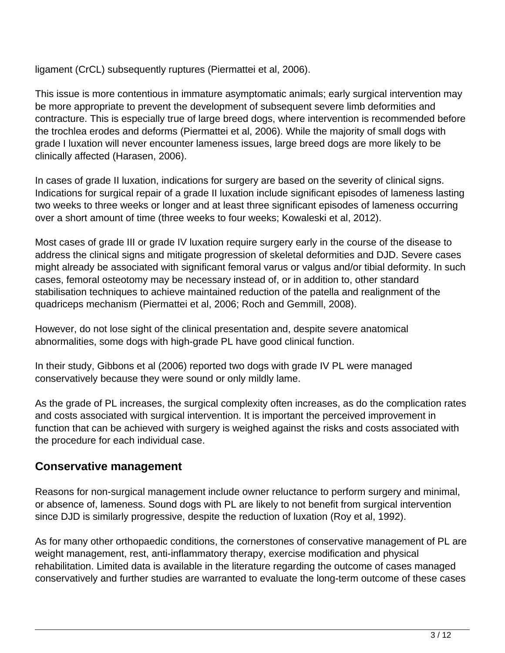ligament (CrCL) subsequently ruptures (Piermattei et al, 2006).

This issue is more contentious in immature asymptomatic animals; early surgical intervention may be more appropriate to prevent the development of subsequent severe limb deformities and contracture. This is especially true of large breed dogs, where intervention is recommended before the trochlea erodes and deforms (Piermattei et al, 2006). While the majority of small dogs with grade I luxation will never encounter lameness issues, large breed dogs are more likely to be clinically affected (Harasen, 2006).

In cases of grade II luxation, indications for surgery are based on the severity of clinical signs. Indications for surgical repair of a grade II luxation include significant episodes of lameness lasting two weeks to three weeks or longer and at least three significant episodes of lameness occurring over a short amount of time (three weeks to four weeks; Kowaleski et al, 2012).

Most cases of grade III or grade IV luxation require surgery early in the course of the disease to address the clinical signs and mitigate progression of skeletal deformities and DJD. Severe cases might already be associated with significant femoral varus or valgus and/or tibial deformity. In such cases, femoral osteotomy may be necessary instead of, or in addition to, other standard stabilisation techniques to achieve maintained reduction of the patella and realignment of the quadriceps mechanism (Piermattei et al, 2006; Roch and Gemmill, 2008).

However, do not lose sight of the clinical presentation and, despite severe anatomical abnormalities, some dogs with high-grade PL have good clinical function.

In their study, Gibbons et al (2006) reported two dogs with grade IV PL were managed conservatively because they were sound or only mildly lame.

As the grade of PL increases, the surgical complexity often increases, as do the complication rates and costs associated with surgical intervention. It is important the perceived improvement in function that can be achieved with surgery is weighed against the risks and costs associated with the procedure for each individual case.

### **Conservative management**

Reasons for non-surgical management include owner reluctance to perform surgery and minimal, or absence of, lameness. Sound dogs with PL are likely to not benefit from surgical intervention since DJD is similarly progressive, despite the reduction of luxation (Roy et al, 1992).

As for many other orthopaedic conditions, the cornerstones of conservative management of PL are weight management, rest, anti-inflammatory therapy, exercise modification and physical rehabilitation. Limited data is available in the literature regarding the outcome of cases managed conservatively and further studies are warranted to evaluate the long-term outcome of these cases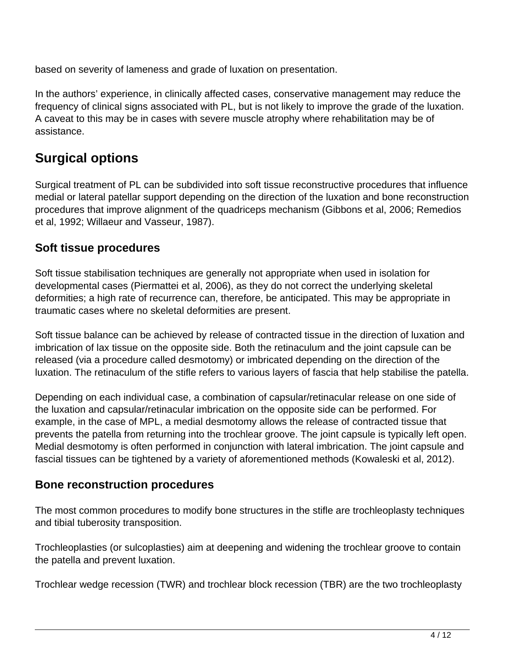based on severity of lameness and grade of luxation on presentation.

In the authors' experience, in clinically affected cases, conservative management may reduce the frequency of clinical signs associated with PL, but is not likely to improve the grade of the luxation. A caveat to this may be in cases with severe muscle atrophy where rehabilitation may be of assistance.

## **Surgical options**

Surgical treatment of PL can be subdivided into soft tissue reconstructive procedures that influence medial or lateral patellar support depending on the direction of the luxation and bone reconstruction procedures that improve alignment of the quadriceps mechanism (Gibbons et al, 2006; Remedios et al, 1992; Willaeur and Vasseur, 1987).

### **Soft tissue procedures**

Soft tissue stabilisation techniques are generally not appropriate when used in isolation for developmental cases (Piermattei et al, 2006), as they do not correct the underlying skeletal deformities; a high rate of recurrence can, therefore, be anticipated. This may be appropriate in traumatic cases where no skeletal deformities are present.

Soft tissue balance can be achieved by release of contracted tissue in the direction of luxation and imbrication of lax tissue on the opposite side. Both the retinaculum and the joint capsule can be released (via a procedure called desmotomy) or imbricated depending on the direction of the luxation. The retinaculum of the stifle refers to various layers of fascia that help stabilise the patella.

Depending on each individual case, a combination of capsular/retinacular release on one side of the luxation and capsular/retinacular imbrication on the opposite side can be performed. For example, in the case of MPL, a medial desmotomy allows the release of contracted tissue that prevents the patella from returning into the trochlear groove. The joint capsule is typically left open. Medial desmotomy is often performed in conjunction with lateral imbrication. The joint capsule and fascial tissues can be tightened by a variety of aforementioned methods (Kowaleski et al, 2012).

### **Bone reconstruction procedures**

The most common procedures to modify bone structures in the stifle are trochleoplasty techniques and tibial tuberosity transposition.

Trochleoplasties (or sulcoplasties) aim at deepening and widening the trochlear groove to contain the patella and prevent luxation.

Trochlear wedge recession (TWR) and trochlear block recession (TBR) are the two trochleoplasty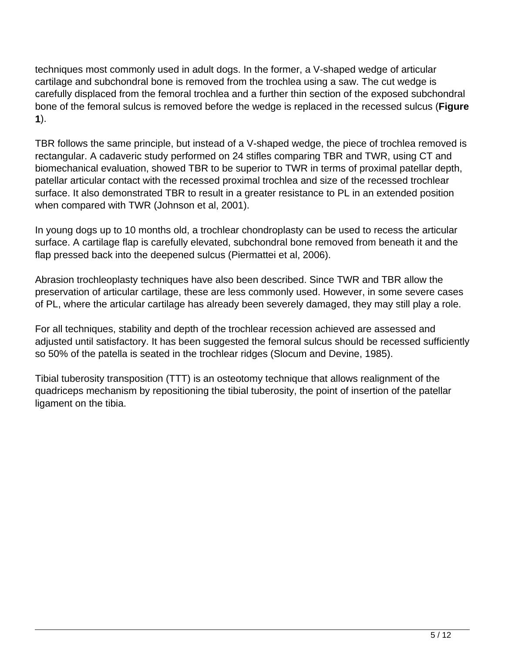techniques most commonly used in adult dogs. In the former, a V-shaped wedge of articular cartilage and subchondral bone is removed from the trochlea using a saw. The cut wedge is carefully displaced from the femoral trochlea and a further thin section of the exposed subchondral bone of the femoral sulcus is removed before the wedge is replaced in the recessed sulcus (**Figure 1**).

TBR follows the same principle, but instead of a V-shaped wedge, the piece of trochlea removed is rectangular. A cadaveric study performed on 24 stifles comparing TBR and TWR, using CT and biomechanical evaluation, showed TBR to be superior to TWR in terms of proximal patellar depth, patellar articular contact with the recessed proximal trochlea and size of the recessed trochlear surface. It also demonstrated TBR to result in a greater resistance to PL in an extended position when compared with TWR (Johnson et al, 2001).

In young dogs up to 10 months old, a trochlear chondroplasty can be used to recess the articular surface. A cartilage flap is carefully elevated, subchondral bone removed from beneath it and the flap pressed back into the deepened sulcus (Piermattei et al, 2006).

Abrasion trochleoplasty techniques have also been described. Since TWR and TBR allow the preservation of articular cartilage, these are less commonly used. However, in some severe cases of PL, where the articular cartilage has already been severely damaged, they may still play a role.

For all techniques, stability and depth of the trochlear recession achieved are assessed and adjusted until satisfactory. It has been suggested the femoral sulcus should be recessed sufficiently so 50% of the patella is seated in the trochlear ridges (Slocum and Devine, 1985).

Tibial tuberosity transposition (TTT) is an osteotomy technique that allows realignment of the quadriceps mechanism by repositioning the tibial tuberosity, the point of insertion of the patellar ligament on the tibia.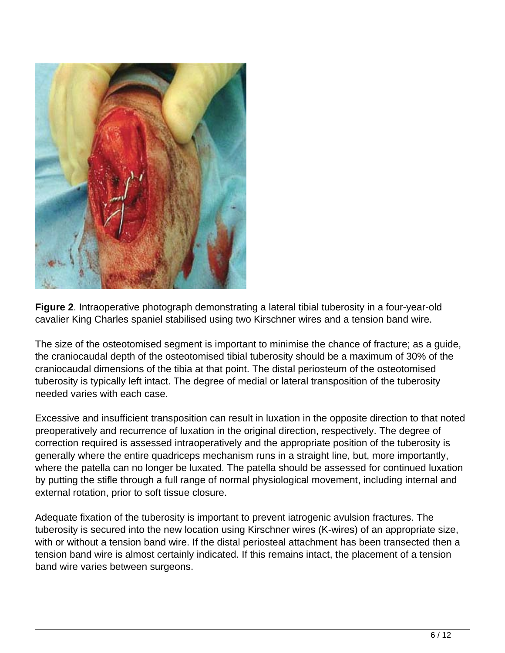

**Figure 2**. Intraoperative photograph demonstrating a lateral tibial tuberosity in a four-year-old cavalier King Charles spaniel stabilised using two Kirschner wires and a tension band wire.

The size of the osteotomised segment is important to minimise the chance of fracture; as a guide, the craniocaudal depth of the osteotomised tibial tuberosity should be a maximum of 30% of the craniocaudal dimensions of the tibia at that point. The distal periosteum of the osteotomised tuberosity is typically left intact. The degree of medial or lateral transposition of the tuberosity needed varies with each case.

Excessive and insufficient transposition can result in luxation in the opposite direction to that noted preoperatively and recurrence of luxation in the original direction, respectively. The degree of correction required is assessed intraoperatively and the appropriate position of the tuberosity is generally where the entire quadriceps mechanism runs in a straight line, but, more importantly, where the patella can no longer be luxated. The patella should be assessed for continued luxation by putting the stifle through a full range of normal physiological movement, including internal and external rotation, prior to soft tissue closure.

Adequate fixation of the tuberosity is important to prevent iatrogenic avulsion fractures. The tuberosity is secured into the new location using Kirschner wires (K-wires) of an appropriate size, with or without a tension band wire. If the distal periosteal attachment has been transected then a tension band wire is almost certainly indicated. If this remains intact, the placement of a tension band wire varies between surgeons.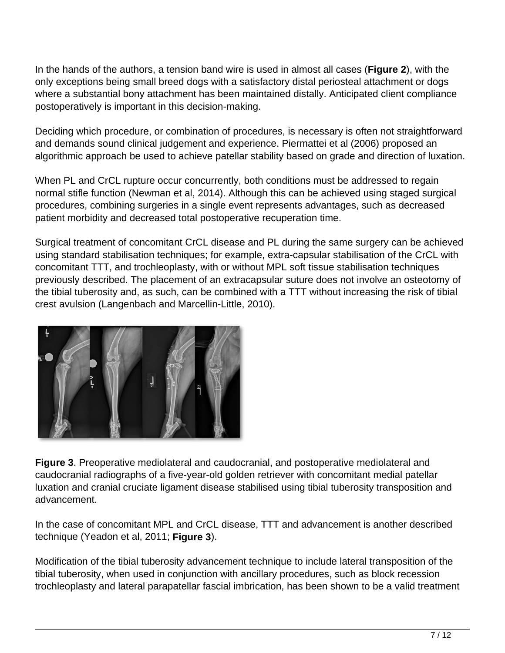In the hands of the authors, a tension band wire is used in almost all cases (**Figure 2**), with the only exceptions being small breed dogs with a satisfactory distal periosteal attachment or dogs where a substantial bony attachment has been maintained distally. Anticipated client compliance postoperatively is important in this decision-making.

Deciding which procedure, or combination of procedures, is necessary is often not straightforward and demands sound clinical judgement and experience. Piermattei et al (2006) proposed an algorithmic approach be used to achieve patellar stability based on grade and direction of luxation.

When PL and CrCL rupture occur concurrently, both conditions must be addressed to regain normal stifle function (Newman et al, 2014). Although this can be achieved using staged surgical procedures, combining surgeries in a single event represents advantages, such as decreased patient morbidity and decreased total postoperative recuperation time.

Surgical treatment of concomitant CrCL disease and PL during the same surgery can be achieved using standard stabilisation techniques; for example, extra-capsular stabilisation of the CrCL with concomitant TTT, and trochleoplasty, with or without MPL soft tissue stabilisation techniques previously described. The placement of an extracapsular suture does not involve an osteotomy of the tibial tuberosity and, as such, can be combined with a TTT without increasing the risk of tibial crest avulsion (Langenbach and Marcellin-Little, 2010).



**Figure 3**. Preoperative mediolateral and caudocranial, and postoperative mediolateral and caudocranial radiographs of a five-year-old golden retriever with concomitant medial patellar luxation and cranial cruciate ligament disease stabilised using tibial tuberosity transposition and advancement.

In the case of concomitant MPL and CrCL disease, TTT and advancement is another described technique (Yeadon et al, 2011; **Figure 3**).

Modification of the tibial tuberosity advancement technique to include lateral transposition of the tibial tuberosity, when used in conjunction with ancillary procedures, such as block recession trochleoplasty and lateral parapatellar fascial imbrication, has been shown to be a valid treatment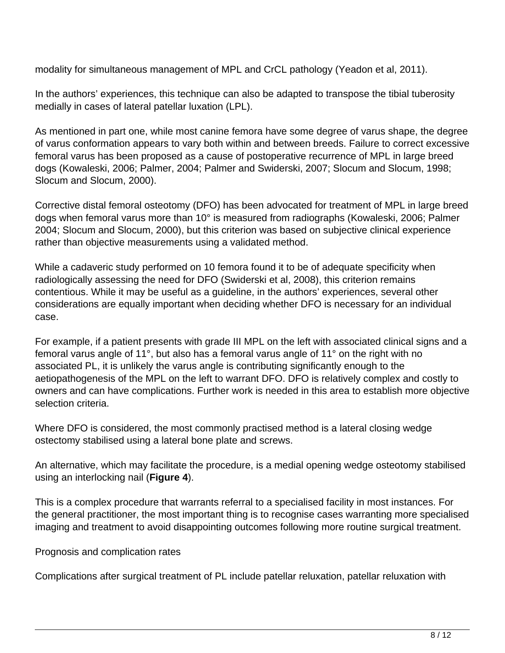modality for simultaneous management of MPL and CrCL pathology (Yeadon et al, 2011).

In the authors' experiences, this technique can also be adapted to transpose the tibial tuberosity medially in cases of lateral patellar luxation (LPL).

As mentioned in part one, while most canine femora have some degree of varus shape, the degree of varus conformation appears to vary both within and between breeds. Failure to correct excessive femoral varus has been proposed as a cause of postoperative recurrence of MPL in large breed dogs (Kowaleski, 2006; Palmer, 2004; Palmer and Swiderski, 2007; Slocum and Slocum, 1998; Slocum and Slocum, 2000).

Corrective distal femoral osteotomy (DFO) has been advocated for treatment of MPL in large breed dogs when femoral varus more than 10° is measured from radiographs (Kowaleski, 2006; Palmer 2004; Slocum and Slocum, 2000), but this criterion was based on subjective clinical experience rather than objective measurements using a validated method.

While a cadaveric study performed on 10 femora found it to be of adequate specificity when radiologically assessing the need for DFO (Swiderski et al, 2008), this criterion remains contentious. While it may be useful as a guideline, in the authors' experiences, several other considerations are equally important when deciding whether DFO is necessary for an individual case.

For example, if a patient presents with grade III MPL on the left with associated clinical signs and a femoral varus angle of 11°, but also has a femoral varus angle of 11° on the right with no associated PL, it is unlikely the varus angle is contributing significantly enough to the aetiopathogenesis of the MPL on the left to warrant DFO. DFO is relatively complex and costly to owners and can have complications. Further work is needed in this area to establish more objective selection criteria.

Where DFO is considered, the most commonly practised method is a lateral closing wedge ostectomy stabilised using a lateral bone plate and screws.

An alternative, which may facilitate the procedure, is a medial opening wedge osteotomy stabilised using an interlocking nail (**Figure 4**).

This is a complex procedure that warrants referral to a specialised facility in most instances. For the general practitioner, the most important thing is to recognise cases warranting more specialised imaging and treatment to avoid disappointing outcomes following more routine surgical treatment.

Prognosis and complication rates

Complications after surgical treatment of PL include patellar reluxation, patellar reluxation with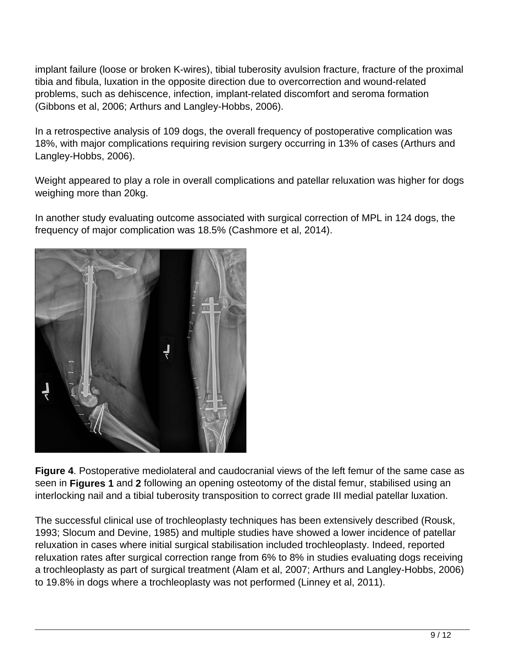implant failure (loose or broken K-wires), tibial tuberosity avulsion fracture, fracture of the proximal tibia and fibula, luxation in the opposite direction due to overcorrection and wound-related problems, such as dehiscence, infection, implant-related discomfort and seroma formation (Gibbons et al, 2006; Arthurs and Langley-Hobbs, 2006).

In a retrospective analysis of 109 dogs, the overall frequency of postoperative complication was 18%, with major complications requiring revision surgery occurring in 13% of cases (Arthurs and Langley-Hobbs, 2006).

Weight appeared to play a role in overall complications and patellar reluxation was higher for dogs weighing more than 20kg.

In another study evaluating outcome associated with surgical correction of MPL in 124 dogs, the frequency of major complication was 18.5% (Cashmore et al, 2014).



**Figure 4**. Postoperative mediolateral and caudocranial views of the left femur of the same case as seen in **Figures 1** and **2** following an opening osteotomy of the distal femur, stabilised using an interlocking nail and a tibial tuberosity transposition to correct grade III medial patellar luxation.

The successful clinical use of trochleoplasty techniques has been extensively described (Rousk, 1993; Slocum and Devine, 1985) and multiple studies have showed a lower incidence of patellar reluxation in cases where initial surgical stabilisation included trochleoplasty. Indeed, reported reluxation rates after surgical correction range from 6% to 8% in studies evaluating dogs receiving a trochleoplasty as part of surgical treatment (Alam et al, 2007; Arthurs and Langley-Hobbs, 2006) to 19.8% in dogs where a trochleoplasty was not performed (Linney et al, 2011).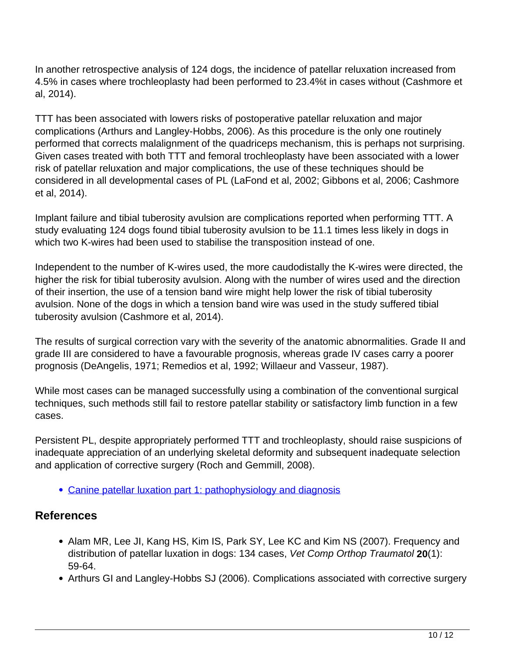In another retrospective analysis of 124 dogs, the incidence of patellar reluxation increased from 4.5% in cases where trochleoplasty had been performed to 23.4%t in cases without (Cashmore et al, 2014).

TTT has been associated with lowers risks of postoperative patellar reluxation and major complications (Arthurs and Langley-Hobbs, 2006). As this procedure is the only one routinely performed that corrects malalignment of the quadriceps mechanism, this is perhaps not surprising. Given cases treated with both TTT and femoral trochleoplasty have been associated with a lower risk of patellar reluxation and major complications, the use of these techniques should be considered in all developmental cases of PL (LaFond et al, 2002; Gibbons et al, 2006; Cashmore et al, 2014).

Implant failure and tibial tuberosity avulsion are complications reported when performing TTT. A study evaluating 124 dogs found tibial tuberosity avulsion to be 11.1 times less likely in dogs in which two K-wires had been used to stabilise the transposition instead of one.

Independent to the number of K-wires used, the more caudodistally the K-wires were directed, the higher the risk for tibial tuberosity avulsion. Along with the number of wires used and the direction of their insertion, the use of a tension band wire might help lower the risk of tibial tuberosity avulsion. None of the dogs in which a tension band wire was used in the study suffered tibial tuberosity avulsion (Cashmore et al, 2014).

The results of surgical correction vary with the severity of the anatomic abnormalities. Grade II and grade III are considered to have a favourable prognosis, whereas grade IV cases carry a poorer prognosis (DeAngelis, 1971; Remedios et al, 1992; Willaeur and Vasseur, 1987).

While most cases can be managed successfully using a combination of the conventional surgical techniques, such methods still fail to restore patellar stability or satisfactory limb function in a few cases.

Persistent PL, despite appropriately performed TTT and trochleoplasty, should raise suspicions of inadequate appreciation of an underlying skeletal deformity and subsequent inadequate selection and application of corrective surgery (Roch and Gemmill, 2008).

[Canine patellar luxation part 1: pathophysiology and diagnosis](http://www.vettimes.co.uk/article/canine-patellar-luxation-part-1-pathophysiology-and-diagnosis/)

### **References**

- Alam MR, Lee JI, Kang HS, Kim IS, Park SY, Lee KC and Kim NS (2007). Frequency and distribution of patellar luxation in dogs: 134 cases, Vet Comp Orthop Traumatol **20**(1): 59-64.
- Arthurs GI and Langley-Hobbs SJ (2006). Complications associated with corrective surgery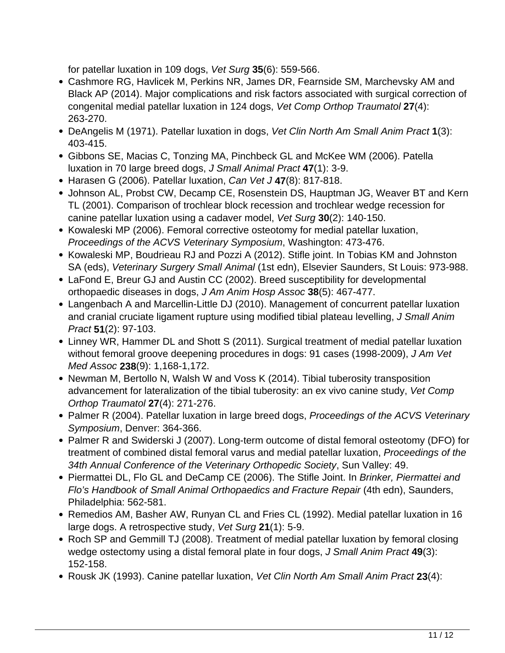for patellar luxation in 109 dogs, Vet Surg **35**(6): 559-566.

- Cashmore RG, Havlicek M, Perkins NR, James DR, Fearnside SM, Marchevsky AM and Black AP (2014). Major complications and risk factors associated with surgical correction of congenital medial patellar luxation in 124 dogs, Vet Comp Orthop Traumatol **27**(4): 263-270.
- DeAngelis M (1971). Patellar luxation in dogs, Vet Clin North Am Small Anim Pract **1**(3): 403-415.
- Gibbons SE, Macias C, Tonzing MA, Pinchbeck GL and McKee WM (2006). Patella luxation in 70 large breed dogs, J Small Animal Pract **47**(1): 3-9.
- Harasen G (2006). Patellar luxation, Can Vet J **47**(8): 817-818.
- Johnson AL, Probst CW, Decamp CE, Rosenstein DS, Hauptman JG, Weaver BT and Kern TL (2001). Comparison of trochlear block recession and trochlear wedge recession for canine patellar luxation using a cadaver model, Vet Surg **30**(2): 140-150.
- Kowaleski MP (2006). Femoral corrective osteotomy for medial patellar luxation, Proceedings of the ACVS Veterinary Symposium, Washington: 473-476.
- Kowaleski MP, Boudrieau RJ and Pozzi A (2012). Stifle joint. In Tobias KM and Johnston SA (eds), Veterinary Surgery Small Animal (1st edn), Elsevier Saunders, St Louis: 973-988.
- LaFond E, Breur GJ and Austin CC (2002). Breed susceptibility for developmental orthopaedic diseases in dogs, J Am Anim Hosp Assoc **38**(5): 467-477.
- Langenbach A and Marcellin-Little DJ (2010). Management of concurrent patellar luxation and cranial cruciate ligament rupture using modified tibial plateau levelling, J Small Anim Pract **51**(2): 97-103.
- Linney WR, Hammer DL and Shott S (2011). Surgical treatment of medial patellar luxation without femoral groove deepening procedures in dogs: 91 cases (1998-2009), J Am Vet Med Assoc **238**(9): 1,168-1,172.
- Newman M, Bertollo N, Walsh W and Voss K (2014). Tibial tuberosity transposition advancement for lateralization of the tibial tuberosity: an ex vivo canine study, Vet Comp Orthop Traumatol **27**(4): 271-276.
- Palmer R (2004). Patellar luxation in large breed dogs, Proceedings of the ACVS Veterinary Symposium, Denver: 364-366.
- Palmer R and Swiderski J (2007). Long-term outcome of distal femoral osteotomy (DFO) for treatment of combined distal femoral varus and medial patellar luxation, Proceedings of the 34th Annual Conference of the Veterinary Orthopedic Society, Sun Valley: 49.
- Piermattei DL, Flo GL and DeCamp CE (2006). The Stifle Joint. In Brinker, Piermattei and Flo's Handbook of Small Animal Orthopaedics and Fracture Repair (4th edn), Saunders, Philadelphia: 562-581.
- Remedios AM, Basher AW, Runyan CL and Fries CL (1992). Medial patellar luxation in 16 large dogs. A retrospective study, Vet Surg **21**(1): 5-9.
- Roch SP and Gemmill TJ (2008). Treatment of medial patellar luxation by femoral closing wedge ostectomy using a distal femoral plate in four dogs, J Small Anim Pract **49**(3): 152-158.
- Rousk JK (1993). Canine patellar luxation, Vet Clin North Am Small Anim Pract **23**(4):